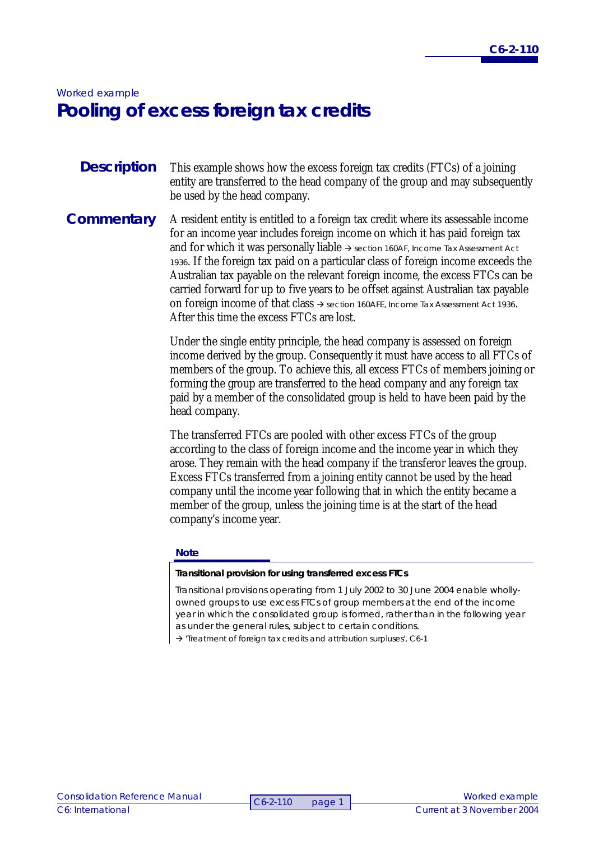# *Worked example*  **Pooling of excess foreign tax credits**

- This example shows how the excess foreign tax credits (FTCs) of a joining entity are transferred to the head company of the group and may subsequently be used by the head company. **Description**
- A resident entity is entitled to a foreign tax credit where its assessable income for an income year includes foreign income on which it has paid foreign tax and for which it was personally liable  $\rightarrow$  section 160AF, *Income Tax Assessment Act <sup>1936</sup>*. If the foreign tax paid on a particular class of foreign income exceeds the Australian tax payable on the relevant foreign income, the excess FTCs can be carried forward for up to five years to be offset against Australian tax payable on foreign income of that class  $\rightarrow$  section 160AFE, *Income Tax Assessment Act 1936*. After this time the excess FTCs are lost. **Commentary**

Under the single entity principle, the head company is assessed on foreign income derived by the group. Consequently it must have access to all FTCs of members of the group. To achieve this, all excess FTCs of members joining or forming the group are transferred to the head company and any foreign tax paid by a member of the consolidated group is held to have been paid by the head company.

The transferred FTCs are pooled with other excess FTCs of the group according to the class of foreign income and the income year in which they arose. They remain with the head company if the transferor leaves the group. Excess FTCs transferred from a joining entity cannot be used by the head company until the income year following that in which the entity became a member of the group, unless the joining time is at the start of the head company's income year.

#### **Note**

#### **Transitional provision for using transferred excess FTCs**

Transitional provisions operating from 1 July 2002 to 30 June 2004 enable whollyowned groups to use excess FTCs of group members at the end of the income year in which the consolidated group is formed, rather than in the following year as under the general rules, subject to certain conditions.

 $\rightarrow$  'Treatment of foreign tax credits and attribution surpluses', C6-1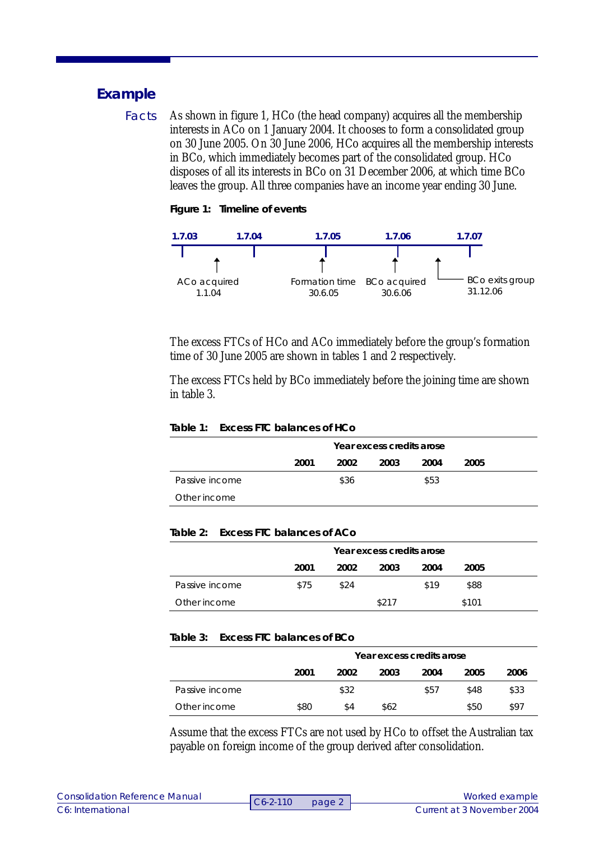## **Example**

As shown in figure 1, HCo (the head company) acquires all the membership interests in ACo on 1 January 2004. It chooses to form a consolidated group on 30 June 2005. On 30 June 2006, HCo acquires all the membership interests in BCo, which immediately becomes part of the consolidated group. HCo disposes of all its interests in BCo on 31 December 2006, at which time BCo leaves the group. All three companies have an income year ending 30 June. Facts

**Figure 1: Timeline of events** 



The excess FTCs of HCo and ACo immediately before the group's formation time of 30 June 2005 are shown in tables 1 and 2 respectively.

The excess FTCs held by BCo immediately before the joining time are shown in table 3.

#### **Table 1: Excess FTC balances of HCo**

|                | Year excess credits arose |      |      |      |      |  |
|----------------|---------------------------|------|------|------|------|--|
|                | 2001                      | 2002 | 2003 | 2004 | 2005 |  |
| Passive income |                           | \$36 |      | \$53 |      |  |
| Other income   |                           |      |      |      |      |  |

### **Table 2: Excess FTC balances of ACo**

|                | Year excess credits arose |      |       |      |       |  |
|----------------|---------------------------|------|-------|------|-------|--|
|                | 2001                      | 2002 | 2003  | 2004 | 2005  |  |
| Passive income | \$75                      | \$24 |       | \$19 | \$88  |  |
| Other income   |                           |      | \$217 |      | \$101 |  |

#### **Table 3: Excess FTC balances of BCo**

|                | Year excess credits arose |      |      |      |      |      |
|----------------|---------------------------|------|------|------|------|------|
|                | 2001                      | 2002 | 2003 | 2004 | 2005 | 2006 |
| Passive income |                           | \$32 |      | \$57 | \$48 | \$33 |
| Other income   | \$80                      | \$4  | \$62 |      | \$50 | \$97 |

Assume that the excess FTCs are not used by HCo to offset the Australian tax payable on foreign income of the group derived after consolidation.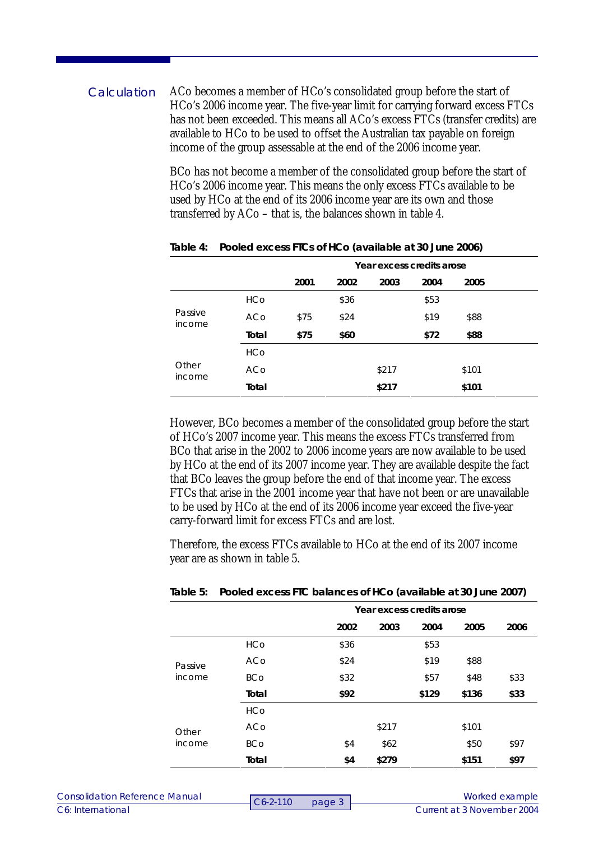ACo becomes a member of HCo's consolidated group before the start of HCo's 2006 income year. The five-year limit for carrying forward excess FTCs has not been exceeded. This means all ACo's excess FTCs (transfer credits) are available to HCo to be used to offset the Australian tax payable on foreign income of the group assessable at the end of the 2006 income year. **Calculation** 

> BCo has not become a member of the consolidated group before the start of HCo's 2006 income year. This means the only excess FTCs available to be used by HCo at the end of its 2006 income year are its own and those transferred by ACo – that is, the balances shown in table 4.

|                   |            | Year excess credits arose |      |       |      |       |  |
|-------------------|------------|---------------------------|------|-------|------|-------|--|
|                   |            | 2001                      | 2002 | 2003  | 2004 | 2005  |  |
|                   | <b>HCo</b> |                           | \$36 |       | \$53 |       |  |
| Passive<br>income | ACo        | \$75                      | \$24 |       | \$19 | \$88  |  |
|                   | Total      | \$75                      | \$60 |       | \$72 | \$88  |  |
|                   | <b>HCo</b> |                           |      |       |      |       |  |
| Other<br>income   | ACo        |                           |      | \$217 |      | \$101 |  |
|                   | Total      |                           |      | \$217 |      | \$101 |  |

**Table 4: Pooled excess FTCs of HCo (available at 30 June 2006)** 

However, BCo becomes a member of the consolidated group before the start of HCo's 2007 income year. This means the excess FTCs transferred from BCo that arise in the 2002 to 2006 income years are now available to be used by HCo at the end of its 2007 income year. They are available despite the fact that BCo leaves the group before the end of that income year. The excess FTCs that arise in the 2001 income year that have not been or are unavailable to be used by HCo at the end of its 2006 income year exceed the five-year carry-forward limit for excess FTCs and are lost.

Therefore, the excess FTCs available to HCo at the end of its 2007 income year are as shown in table 5.

|                   |            | Year excess credits arose |       |       |       |      |
|-------------------|------------|---------------------------|-------|-------|-------|------|
|                   |            | 2002                      | 2003  | 2004  | 2005  | 2006 |
|                   | <b>HCo</b> | \$36                      |       | \$53  |       |      |
| Passive<br>income | ACo        | \$24                      |       | \$19  | \$88  |      |
|                   | <b>BCo</b> | \$32                      |       | \$57  | \$48  | \$33 |
|                   | Total      | \$92                      |       | \$129 | \$136 | \$33 |
|                   | <b>HCo</b> |                           |       |       |       |      |
| Other<br>income   | ACo        |                           | \$217 |       | \$101 |      |
|                   | <b>BCo</b> | \$4                       | \$62  |       | \$50  | \$97 |
|                   | Total      | \$4                       | \$279 |       | \$151 | \$97 |

**Table 5: Pooled excess FTC balances of HCo (available at 30 June 2007)**